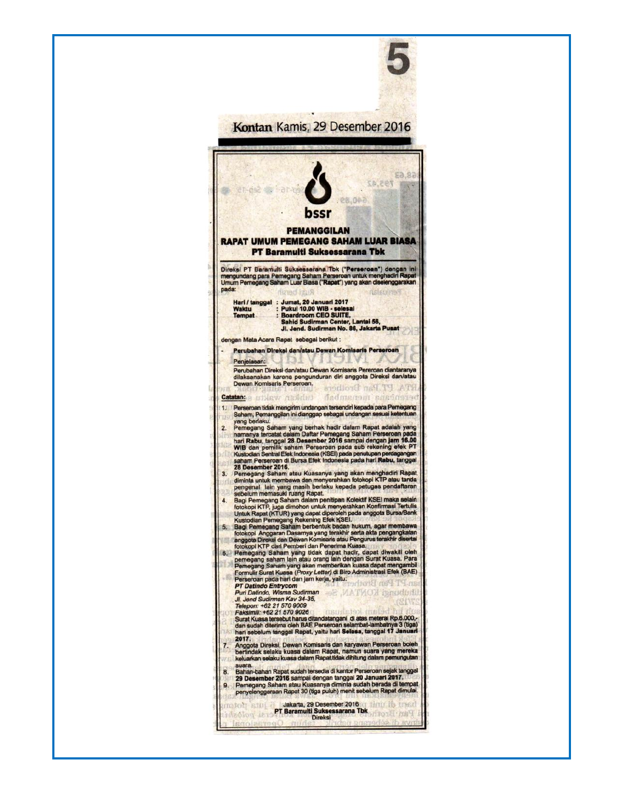